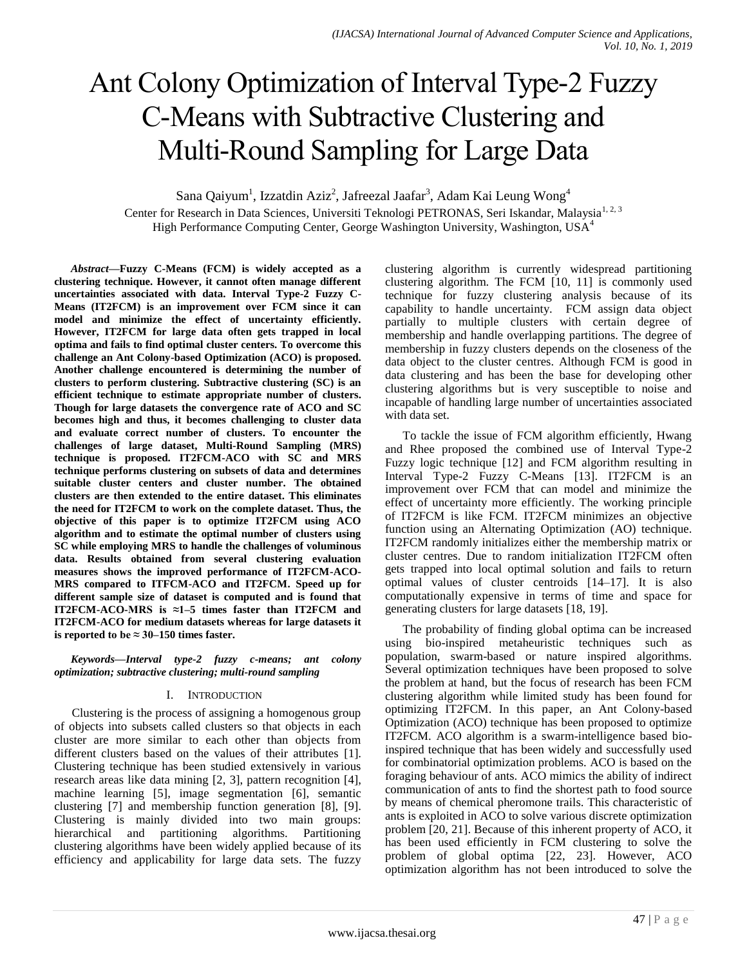# Ant Colony Optimization of Interval Type-2 Fuzzy C-Means with Subtractive Clustering and Multi-Round Sampling for Large Data

Sana Qaiyum<sup>1</sup>, Izzatdin Aziz<sup>2</sup>, Jafreezal Jaafar<sup>3</sup>, Adam Kai Leung Wong<sup>4</sup> Center for Research in Data Sciences, Universiti Teknologi PETRONAS, Seri Iskandar, Malaysia<sup>1, 2, 3</sup> High Performance Computing Center, George Washington University, Washington, USA<sup>4</sup>

*Abstract***—Fuzzy C-Means (FCM) is widely accepted as a clustering technique. However, it cannot often manage different uncertainties associated with data. Interval Type-2 Fuzzy C-Means (IT2FCM) is an improvement over FCM since it can model and minimize the effect of uncertainty efficiently. However, IT2FCM for large data often gets trapped in local optima and fails to find optimal cluster centers. To overcome this challenge an Ant Colony-based Optimization (ACO) is proposed. Another challenge encountered is determining the number of clusters to perform clustering. Subtractive clustering (SC) is an efficient technique to estimate appropriate number of clusters. Though for large datasets the convergence rate of ACO and SC becomes high and thus, it becomes challenging to cluster data and evaluate correct number of clusters. To encounter the challenges of large dataset, Multi-Round Sampling (MRS) technique is proposed. IT2FCM-ACO with SC and MRS technique performs clustering on subsets of data and determines suitable cluster centers and cluster number. The obtained clusters are then extended to the entire dataset. This eliminates the need for IT2FCM to work on the complete dataset. Thus, the objective of this paper is to optimize IT2FCM using ACO algorithm and to estimate the optimal number of clusters using SC while employing MRS to handle the challenges of voluminous data. Results obtained from several clustering evaluation measures shows the improved performance of IT2FCM-ACO-MRS compared to ITFCM-ACO and IT2FCM. Speed up for different sample size of dataset is computed and is found that IT2FCM-ACO-MRS is ≈1–5 times faster than IT2FCM and IT2FCM-ACO for medium datasets whereas for large datasets it is reported to be**  $\approx 30-150$  **times faster.** 

*Keywords—Interval type-2 fuzzy c-means; ant colony optimization; subtractive clustering; multi-round sampling*

## I. INTRODUCTION

Clustering is the process of assigning a homogenous group of objects into subsets called clusters so that objects in each cluster are more similar to each other than objects from different clusters based on the values of their attributes [1]. Clustering technique has been studied extensively in various research areas like data mining [2, 3], pattern recognition [4], machine learning [5], image segmentation [6], semantic clustering [7] and membership function generation [8], [9]. Clustering is mainly divided into two main groups: hierarchical and partitioning algorithms. Partitioning clustering algorithms have been widely applied because of its efficiency and applicability for large data sets. The fuzzy clustering algorithm is currently widespread partitioning clustering algorithm. The FCM [10, 11] is commonly used technique for fuzzy clustering analysis because of its capability to handle uncertainty. FCM assign data object partially to multiple clusters with certain degree of membership and handle overlapping partitions. The degree of membership in fuzzy clusters depends on the closeness of the data object to the cluster centres. Although FCM is good in data clustering and has been the base for developing other clustering algorithms but is very susceptible to noise and incapable of handling large number of uncertainties associated with data set.

To tackle the issue of FCM algorithm efficiently, Hwang and Rhee proposed the combined use of Interval Type-2 Fuzzy logic technique [12] and FCM algorithm resulting in Interval Type-2 Fuzzy C-Means [13]. IT2FCM is an improvement over FCM that can model and minimize the effect of uncertainty more efficiently. The working principle of IT2FCM is like FCM. IT2FCM minimizes an objective function using an Alternating Optimization (AO) technique. IT2FCM randomly initializes either the membership matrix or cluster centres. Due to random initialization IT2FCM often gets trapped into local optimal solution and fails to return optimal values of cluster centroids [14–17]. It is also computationally expensive in terms of time and space for generating clusters for large datasets [18, 19].

The probability of finding global optima can be increased using bio-inspired metaheuristic techniques such as population, swarm-based or nature inspired algorithms. Several optimization techniques have been proposed to solve the problem at hand, but the focus of research has been FCM clustering algorithm while limited study has been found for optimizing IT2FCM. In this paper, an Ant Colony-based Optimization (ACO) technique has been proposed to optimize IT2FCM. ACO algorithm is a swarm-intelligence based bioinspired technique that has been widely and successfully used for combinatorial optimization problems. ACO is based on the foraging behaviour of ants. ACO mimics the ability of indirect communication of ants to find the shortest path to food source by means of chemical pheromone trails. This characteristic of ants is exploited in ACO to solve various discrete optimization problem [20, 21]. Because of this inherent property of ACO, it has been used efficiently in FCM clustering to solve the problem of global optima [22, 23]. However, ACO optimization algorithm has not been introduced to solve the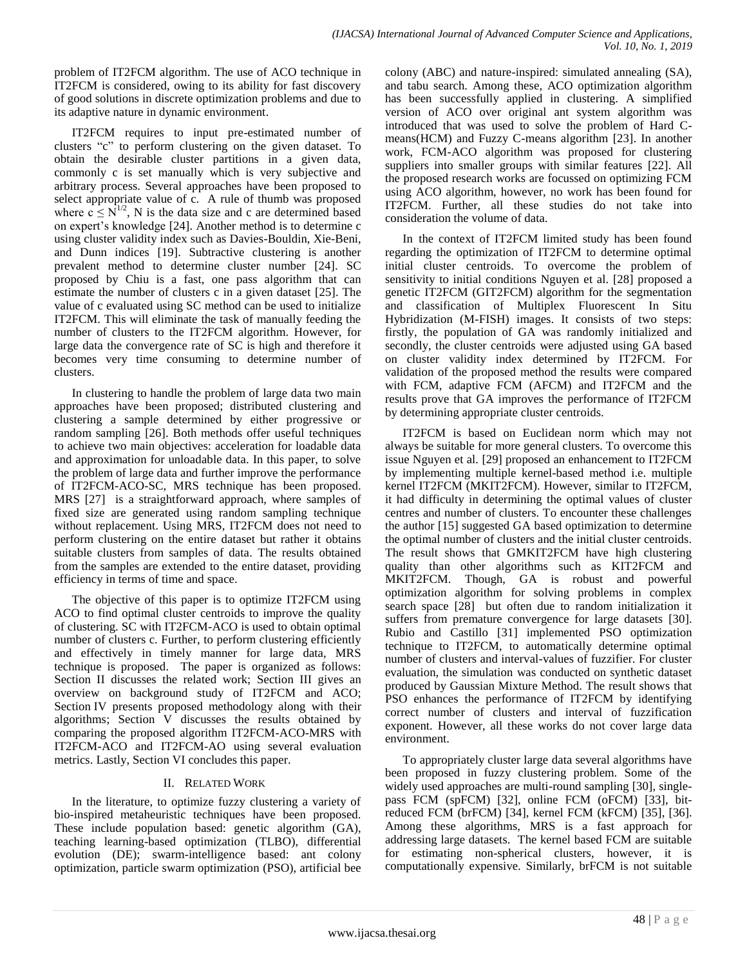problem of IT2FCM algorithm. The use of ACO technique in IT2FCM is considered, owing to its ability for fast discovery of good solutions in discrete optimization problems and due to its adaptive nature in dynamic environment.

IT2FCM requires to input pre-estimated number of clusters "c" to perform clustering on the given dataset. To obtain the desirable cluster partitions in a given data, commonly c is set manually which is very subjective and arbitrary process. Several approaches have been proposed to select appropriate value of c. A rule of thumb was proposed where  $c \le N^{1/2}$ , N is the data size and c are determined based on expert's knowledge [24]. Another method is to determine c using cluster validity index such as Davies-Bouldin, Xie-Beni, and Dunn indices [19]. Subtractive clustering is another prevalent method to determine cluster number [24]. SC proposed by Chiu is a fast, one pass algorithm that can estimate the number of clusters c in a given dataset [25]. The value of c evaluated using SC method can be used to initialize IT2FCM. This will eliminate the task of manually feeding the number of clusters to the IT2FCM algorithm. However, for large data the convergence rate of SC is high and therefore it becomes very time consuming to determine number of clusters.

In clustering to handle the problem of large data two main approaches have been proposed; distributed clustering and clustering a sample determined by either progressive or random sampling [26]. Both methods offer useful techniques to achieve two main objectives: acceleration for loadable data and approximation for unloadable data. In this paper, to solve the problem of large data and further improve the performance of IT2FCM-ACO-SC, MRS technique has been proposed. MRS [27] is a straightforward approach, where samples of fixed size are generated using random sampling technique without replacement. Using MRS, IT2FCM does not need to perform clustering on the entire dataset but rather it obtains suitable clusters from samples of data. The results obtained from the samples are extended to the entire dataset, providing efficiency in terms of time and space.

The objective of this paper is to optimize IT2FCM using ACO to find optimal cluster centroids to improve the quality of clustering. SC with IT2FCM-ACO is used to obtain optimal number of clusters c. Further, to perform clustering efficiently and effectively in timely manner for large data, MRS technique is proposed. The paper is organized as follows: Section II discusses the related work; Section III gives an overview on background study of IT2FCM and ACO; Section IV presents proposed methodology along with their algorithms; Section V discusses the results obtained by comparing the proposed algorithm IT2FCM-ACO-MRS with IT2FCM-ACO and IT2FCM-AO using several evaluation metrics. Lastly, Section VI concludes this paper.

# II. RELATED WORK

In the literature, to optimize fuzzy clustering a variety of bio-inspired metaheuristic techniques have been proposed. These include population based: genetic algorithm (GA), teaching learning-based optimization (TLBO), differential evolution (DE); swarm-intelligence based: ant colony optimization, particle swarm optimization (PSO), artificial bee colony (ABC) and nature-inspired: simulated annealing (SA), and tabu search. Among these, ACO optimization algorithm has been successfully applied in clustering. A simplified version of ACO over original ant system algorithm was introduced that was used to solve the problem of Hard Cmeans(HCM) and Fuzzy C-means algorithm [23]. In another work, FCM-ACO algorithm was proposed for clustering suppliers into smaller groups with similar features [22]. All the proposed research works are focussed on optimizing FCM using ACO algorithm, however, no work has been found for IT2FCM. Further, all these studies do not take into consideration the volume of data.

In the context of IT2FCM limited study has been found regarding the optimization of IT2FCM to determine optimal initial cluster centroids. To overcome the problem of sensitivity to initial conditions Nguyen et al. [28] proposed a genetic IT2FCM (GIT2FCM) algorithm for the segmentation and classification of Multiplex Fluorescent In Situ Hybridization (M-FISH) images. It consists of two steps: firstly, the population of GA was randomly initialized and secondly, the cluster centroids were adjusted using GA based on cluster validity index determined by IT2FCM. For validation of the proposed method the results were compared with FCM, adaptive FCM (AFCM) and IT2FCM and the results prove that GA improves the performance of IT2FCM by determining appropriate cluster centroids.

IT2FCM is based on Euclidean norm which may not always be suitable for more general clusters. To overcome this issue Nguyen et al. [29] proposed an enhancement to IT2FCM by implementing multiple kernel-based method i.e. multiple kernel IT2FCM (MKIT2FCM). However, similar to IT2FCM, it had difficulty in determining the optimal values of cluster centres and number of clusters. To encounter these challenges the author [15] suggested GA based optimization to determine the optimal number of clusters and the initial cluster centroids. The result shows that GMKIT2FCM have high clustering quality than other algorithms such as KIT2FCM and MKIT2FCM. Though, GA is robust and powerful optimization algorithm for solving problems in complex search space [28] but often due to random initialization it suffers from premature convergence for large datasets [30]. Rubio and Castillo [31] implemented PSO optimization technique to IT2FCM, to automatically determine optimal number of clusters and interval-values of fuzzifier. For cluster evaluation, the simulation was conducted on synthetic dataset produced by Gaussian Mixture Method. The result shows that PSO enhances the performance of IT2FCM by identifying correct number of clusters and interval of fuzzification exponent. However, all these works do not cover large data environment.

To appropriately cluster large data several algorithms have been proposed in fuzzy clustering problem. Some of the widely used approaches are multi-round sampling [30], singlepass FCM (spFCM) [32], online FCM (oFCM) [33], bitreduced FCM (brFCM) [34], kernel FCM (kFCM) [35], [36]. Among these algorithms, MRS is a fast approach for addressing large datasets. The kernel based FCM are suitable for estimating non-spherical clusters, however, it is computationally expensive. Similarly, brFCM is not suitable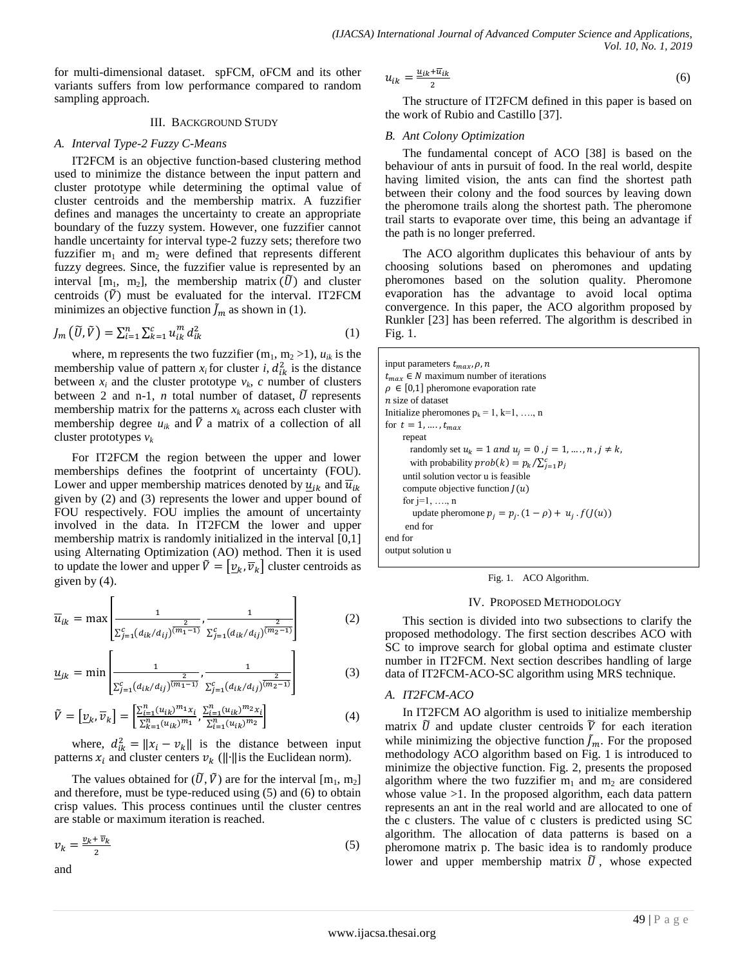for multi-dimensional dataset. spFCM, oFCM and its other variants suffers from low performance compared to random sampling approach.

## III. BACKGROUND STUDY

## *A. Interval Type-2 Fuzzy C-Means*

IT2FCM is an objective function-based clustering method used to minimize the distance between the input pattern and cluster prototype while determining the optimal value of cluster centroids and the membership matrix. A fuzzifier defines and manages the uncertainty to create an appropriate boundary of the fuzzy system. However, one fuzzifier cannot handle uncertainty for interval type-2 fuzzy sets; therefore two fuzzifier  $m_1$  and  $m_2$  were defined that represents different fuzzy degrees. Since, the fuzzifier value is represented by an interval  $[m_1, m_2]$ , the membership matrix  $(\tilde{U})$  and cluster centroids  $(\tilde{V})$  must be evaluated for the interval. IT2FCM minimizes an objective function  $\tilde{J}_m$  as shown in (1).

$$
J_m(\tilde{U}, \tilde{V}) = \sum_{i=1}^n \sum_{k=1}^c u_{ik}^m d_{ik}^2
$$
 (1)

where, m represents the two fuzzifier  $(m_1, m_2 > 1)$ ,  $u_{ik}$  is the membership value of pattern  $x_i$  for cluster *i*,  $d_{ik}^2$  is the distance between  $x_i$  and the cluster prototype  $v_k$ , *c* number of clusters between 2 and n-1, *n* total number of dataset,  $\tilde{U}$  represents membership matrix for the patterns  $x_k$  across each cluster with membership degree  $u_{ik}$  and  $\tilde{V}$  a matrix of a collection of all cluster prototypes *v<sup>k</sup>*

For IT2FCM the region between the upper and lower memberships defines the footprint of uncertainty (FOU). Lower and upper membership matrices denoted by  $u_{ik}$  and  $\overline{u}_{ik}$ given by (2) and (3) represents the lower and upper bound of FOU respectively. FOU implies the amount of uncertainty involved in the data. In IT2FCM the lower and upper membership matrix is randomly initialized in the interval [0,1] using Alternating Optimization (AO) method. Then it is used to update the lower and upper  $\tilde{V} = [\underline{v}_k, \overline{v}_k]$  cluster centroids as given by (4).

$$
\overline{u}_{ik} = \max \left[ \frac{1}{\sum_{j=1}^{c} (d_{ik}/d_{ij})^{\overline{(m_1-1)}}} , \frac{1}{\sum_{j=1}^{c} (d_{ik}/d_{ij})^{\overline{(m_2-1)}}} \right]
$$
(2)

$$
\underline{u}_{ik} = \min \left[ \frac{1}{\sum_{j=1}^{c} (d_{ik}/d_{ij})^{\overline{(m_1-1)}}}, \frac{1}{\sum_{j=1}^{c} (d_{ik}/d_{ij})^{\overline{(m_2-1)}}} \right]
$$
(3)

$$
\tilde{V} = \left[\underline{v}_k, \overline{v}_k\right] = \left[\frac{\sum_{i=1}^n (u_{ik})^{m_1} x_i}{\sum_{k=1}^n (u_{ik})^{m_1}}, \frac{\sum_{i=1}^n (u_{ik})^{m_2} x_i}{\sum_{i=1}^n (u_{ik})^{m_2}}\right]
$$
(4)

where,  $d_{ik}^2 = ||x_i - v_k||$  is the distance between input patterns  $x_i$  and cluster centers  $v_k$  ( $\|\cdot\|$  is the Euclidean norm).

The values obtained for  $(\tilde{U}, \tilde{V})$  are for the interval  $[m_1, m_2]$ and therefore, must be type-reduced using (5) and (6) to obtain crisp values. This process continues until the cluster centres are stable or maximum iteration is reached.

$$
v_k = \frac{v_k + \overline{v}_k}{2} \tag{5}
$$

and

$$
u_{ik} = \frac{u_{ik} + \overline{u}_{ik}}{2} \tag{6}
$$

The structure of IT2FCM defined in this paper is based on the work of Rubio and Castillo [37].

# *B. Ant Colony Optimization*

The fundamental concept of ACO [38] is based on the behaviour of ants in pursuit of food. In the real world, despite having limited vision, the ants can find the shortest path between their colony and the food sources by leaving down the pheromone trails along the shortest path. The pheromone trail starts to evaporate over time, this being an advantage if the path is no longer preferred.

The ACO algorithm duplicates this behaviour of ants by choosing solutions based on pheromones and updating pheromones based on the solution quality. Pheromone evaporation has the advantage to avoid local optima convergence. In this paper, the ACO algorithm proposed by Runkler [23] has been referred. The algorithm is described in Fig. 1.

| input parameters $t_{max}$ , $\rho$ , n<br>$t_{max} \in N$ maximum number of iterations<br>$\rho \in [0,1]$ pheromone evaporation rate |
|----------------------------------------------------------------------------------------------------------------------------------------|
| <i>n</i> size of dataset                                                                                                               |
| Initialize pheromones $p_k = 1, k=1, \ldots, n$                                                                                        |
| for $t = 1, , t_{max}$                                                                                                                 |
| repeat                                                                                                                                 |
| randomly set $u_k = 1$ and $u_i = 0$ , $j = 1, \dots, n$ , $j \neq k$ ,                                                                |
| with probability $prob(k) = p_k / \sum_{i=1}^{c} p_i$                                                                                  |
| until solution vector u is feasible                                                                                                    |
| compute objective function $I(u)$                                                                                                      |
| for $j=1, \ldots, n$                                                                                                                   |
| update pheromone $p_i = p_i$ . $(1 - \rho) + u_i$ . $f(J(u))$                                                                          |
| end for                                                                                                                                |
| end for                                                                                                                                |
| output solution u                                                                                                                      |

Fig. 1. ACO Algorithm.

## IV. PROPOSED METHODOLOGY

This section is divided into two subsections to clarify the proposed methodology. The first section describes ACO with SC to improve search for global optima and estimate cluster number in IT2FCM. Next section describes handling of large data of IT2FCM-ACO-SC algorithm using MRS technique.

## *A. IT2FCM-ACO*

In IT2FCM AO algorithm is used to initialize membership matrix  $\tilde{U}$  and update cluster centroids  $\tilde{V}$  for each iteration while minimizing the objective function  $\tilde{J}_m$ . For the proposed methodology ACO algorithm based on Fig. 1 is introduced to minimize the objective function. Fig. 2, presents the proposed algorithm where the two fuzzifier  $m_1$  and  $m_2$  are considered whose value  $>1$ . In the proposed algorithm, each data pattern represents an ant in the real world and are allocated to one of the c clusters. The value of c clusters is predicted using SC algorithm. The allocation of data patterns is based on a pheromone matrix p. The basic idea is to randomly produce lower and upper membership matrix  $\tilde{U}$ , whose expected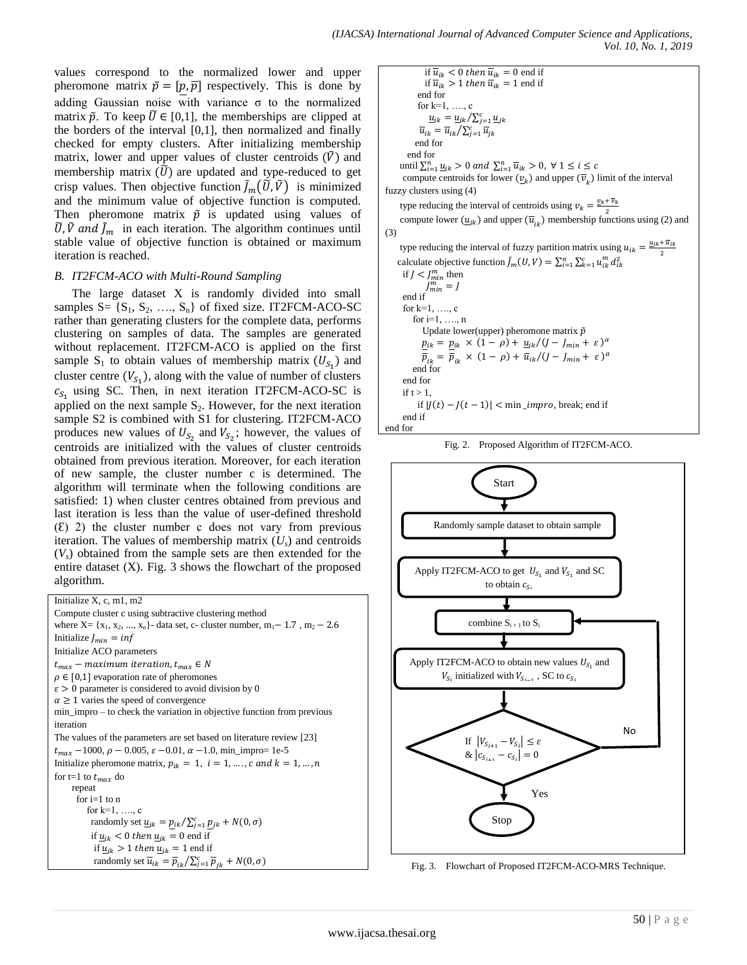values correspond to the normalized lower and upper pheromone matrix  $\tilde{p} = [p, \overline{p}]$  respectively. This is done by adding Gaussian noise with variance σ to the normalized matrix  $\tilde{p}$ . To keep  $\tilde{U} \in [0,1]$ , the memberships are clipped at the borders of the interval [0,1], then normalized and finally checked for empty clusters. After initializing membership matrix, lower and upper values of cluster centroids  $(V)$  and membership matrix  $(\tilde{U})$  are updated and type-reduced to get crisp values. Then objective function  $\tilde{J}_m(\tilde{U}, \tilde{V})$  is minimized and the minimum value of objective function is computed. Then pheromone matrix  $\tilde{p}$  is updated using values of  $\tilde{U}$ ,  $\tilde{V}$  and  $\tilde{J}_m$  in each iteration. The algorithm continues until stable value of objective function is obtained or maximum iteration is reached.

## *B. IT2FCM-ACO with Multi-Round Sampling*

The large dataset X is randomly divided into small samples  $S = \{S_1, S_2, \ldots, S_n\}$  of fixed size. IT2FCM-ACO-SC rather than generating clusters for the complete data, performs clustering on samples of data. The samples are generated without replacement. IT2FCM-ACO is applied on the first sample  $S_1$  to obtain values of membership matrix  $(U_{S_1})$  and cluster centre  $(V_{S_1})$ , along with the value of number of clusters  $c_{S_1}$  using SC. Then, in next iteration IT2FCM-ACO-SC is applied on the next sample  $S_2$ . However, for the next iteration sample S2 is combined with S1 for clustering. IT2FCM-ACO produces new values of  $U_{S_2}$  and  $V_{S_2}$ ; however, the values of centroids are initialized with the values of cluster centroids obtained from previous iteration. Moreover, for each iteration of new sample, the cluster number c is determined. The algorithm will terminate when the following conditions are satisfied: 1) when cluster centres obtained from previous and last iteration is less than the value of user-defined threshold  $(E)$  2) the cluster number c does not vary from previous iteration. The values of membership matrix (*Us*) and centroids  $(V<sub>s</sub>)$  obtained from the sample sets are then extended for the entire dataset (X). Fig. 3 shows the flowchart of the proposed algorithm.

Initialize X, c, m1, m2 Compute cluster c using subtractive clustering method where  $X = \{x_1, x_2, ..., x_n\}$ - data set, c- cluster number, m<sub>1</sub> – 1.7, m<sub>2</sub> – 2.6 Initialize  $J_{min} = inf$ Initialize ACO parameters  $t_{max}$  – maximum iteration,  $t_{max} \in N$  $\rho \in [0,1]$  evaporation rate of pheromones  $\varepsilon > 0$  parameter is considered to avoid division by 0  $\alpha \geq 1$  varies the speed of convergence min\_impro – to check the variation in objective function from previous iteration The values of the parameters are set based on literature review [23]  $t_{max}$  –1000,  $\rho$  – 0.005,  $\varepsilon$  –0.01,  $\alpha$  –1.0, min\_impro= 1e-5 Initialize pheromone matrix,  $p_{ik} = 1$ ,  $i = 1, ..., c$  and  $k = 1, ..., n$ for t=1 to  $t_{max}$  do repeat for  $i=1$  to  $n$ for  $k=1, \ldots, c$ randomly set  $\underline{u}_{ik} = p_{ik}/\sum_{j=1}^{c} p_{j}$ if  $u_{ik}$  < 0 then  $u_{ik}$  = 0 end if if  $u_{ik} > 1$  then  $u_{ik} = 1$  end if randomly set  $\overline{u}_{ik} = \overline{p}_{ik}/\sum_{j=1}^{c} \overline{p}_{ik}$ 



Fig. 2. Proposed Algorithm of IT2FCM-ACO.



Fig. 3. Flowchart of Proposed IT2FCM-ACO-MRS Technique.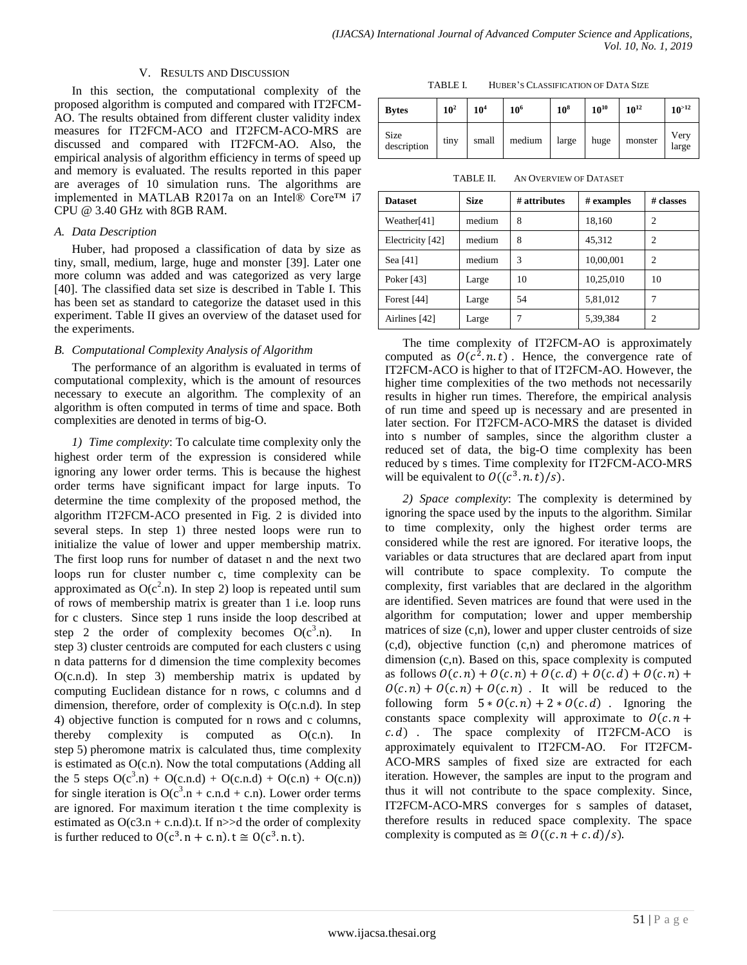## V. RESULTS AND DISCUSSION

In this section, the computational complexity of the proposed algorithm is computed and compared with IT2FCM-AO. The results obtained from different cluster validity index measures for IT2FCM-ACO and IT2FCM-ACO-MRS are discussed and compared with IT2FCM-AO. Also, the empirical analysis of algorithm efficiency in terms of speed up and memory is evaluated. The results reported in this paper are averages of 10 simulation runs. The algorithms are implemented in MATLAB R2017a on an Intel® Core™ i7 CPU @ 3.40 GHz with 8GB RAM.

## *A. Data Description*

Huber, had proposed a classification of data by size as tiny, small, medium, large, huge and monster [39]. Later one more column was added and was categorized as very large [40]. The classified data set size is described in Table I. This has been set as standard to categorize the dataset used in this experiment. Table II gives an overview of the dataset used for the experiments.

# *B. Computational Complexity Analysis of Algorithm*

The performance of an algorithm is evaluated in terms of computational complexity, which is the amount of resources necessary to execute an algorithm. The complexity of an algorithm is often computed in terms of time and space. Both complexities are denoted in terms of big-O.

*1) Time complexity*: To calculate time complexity only the highest order term of the expression is considered while ignoring any lower order terms. This is because the highest order terms have significant impact for large inputs. To determine the time complexity of the proposed method, the algorithm IT2FCM-ACO presented in Fig. 2 is divided into several steps. In step 1) three nested loops were run to initialize the value of lower and upper membership matrix. The first loop runs for number of dataset n and the next two loops run for cluster number c, time complexity can be approximated as  $O(c^2.n)$ . In step 2) loop is repeated until sum of rows of membership matrix is greater than 1 i.e. loop runs for c clusters. Since step 1 runs inside the loop described at step 2 the order of complexity becomes  $O(c^3.n)$ . In step 3) cluster centroids are computed for each clusters c using n data patterns for d dimension the time complexity becomes O(c.n.d). In step 3) membership matrix is updated by computing Euclidean distance for n rows, c columns and d dimension, therefore, order of complexity is O(c.n.d). In step 4) objective function is computed for n rows and c columns, thereby complexity is computed as  $O(c.n)$ . In step 5) pheromone matrix is calculated thus, time complexity is estimated as O(c.n). Now the total computations (Adding all the 5 steps  $O(c^3.n) + O(c.n.d) + O(c.n.d) + O(c.n) + O(c.n)$ for single iteration is  $O(c^3.n + c.n.d + c.n)$ . Lower order terms are ignored. For maximum iteration t the time complexity is estimated as  $O(c3.n + c.n.d)$ .t. If n $>>d$  the order of complexity is further reduced to  $O(c^3 \cdot n + c \cdot n) \cdot t \approx O(c^3 \cdot n \cdot t)$ .

TABLE I. HUBER'S CLASSIFICATION OF DATA SIZE

| <b>Bytes</b>               | $10^2$ | 10 <sup>4</sup> | 10 <sup>6</sup> | $10^8$ | $10^{10}$ | $10^{12}$ | $10^{>12}$    |
|----------------------------|--------|-----------------|-----------------|--------|-----------|-----------|---------------|
| <b>Size</b><br>description | tiny   | small           | medium          | large  | huge      | monster   | Very<br>large |

TABLE II. AN OVERVIEW OF DATASET

| <b>Dataset</b>   | <b>Size</b> | # attributes | # examples | # classes      |
|------------------|-------------|--------------|------------|----------------|
| Weather[41]      | medium      | 8            | 18,160     | 2              |
| Electricity [42] | medium      | 8            | 45,312     | $\overline{c}$ |
| Sea [41]         | medium      | 3            | 10,00,001  | $\overline{c}$ |
| Poker [43]       | Large       | 10           | 10,25,010  | 10             |
| Forest [44]      | Large       | 54           | 5,81,012   | 7              |
| Airlines [42]    | Large       |              | 5,39,384   | 2              |

The time complexity of IT2FCM-AO is approximately computed as  $O(c^2, n, t)$ . Hence, the convergence rate of IT2FCM-ACO is higher to that of IT2FCM-AO. However, the higher time complexities of the two methods not necessarily results in higher run times. Therefore, the empirical analysis of run time and speed up is necessary and are presented in later section. For IT2FCM-ACO-MRS the dataset is divided into s number of samples, since the algorithm cluster a reduced set of data, the big-O time complexity has been reduced by s times. Time complexity for IT2FCM-ACO-MRS will be equivalent to  $O((c^3 \cdot n \cdot t)/s)$ .

*2) Space complexity*: The complexity is determined by ignoring the space used by the inputs to the algorithm. Similar to time complexity, only the highest order terms are considered while the rest are ignored. For iterative loops, the variables or data structures that are declared apart from input will contribute to space complexity. To compute the complexity, first variables that are declared in the algorithm are identified. Seven matrices are found that were used in the algorithm for computation; lower and upper membership matrices of size (c,n), lower and upper cluster centroids of size (c,d), objective function (c,n) and pheromone matrices of dimension (c,n). Based on this, space complexity is computed as follows  $O(c.n) + O(c.n) + O(c.d) + O(c.d) + O(c.n) +$  $O(c, n) + O(c, n) + O(c, n)$ . It will be reduced to the following form  $5 * O(c.n) + 2 * O(c.d)$ . Ignoring the constants space complexity will approximate to  $O(c \cdot n +$  $c. d$ . The space complexity of IT2FCM-ACO is approximately equivalent to IT2FCM-AO. For IT2FCM-ACO-MRS samples of fixed size are extracted for each iteration. However, the samples are input to the program and thus it will not contribute to the space complexity. Since, IT2FCM-ACO-MRS converges for s samples of dataset, therefore results in reduced space complexity. The space complexity is computed as  $\cong$   $O((c.n + c.d)/s)$ .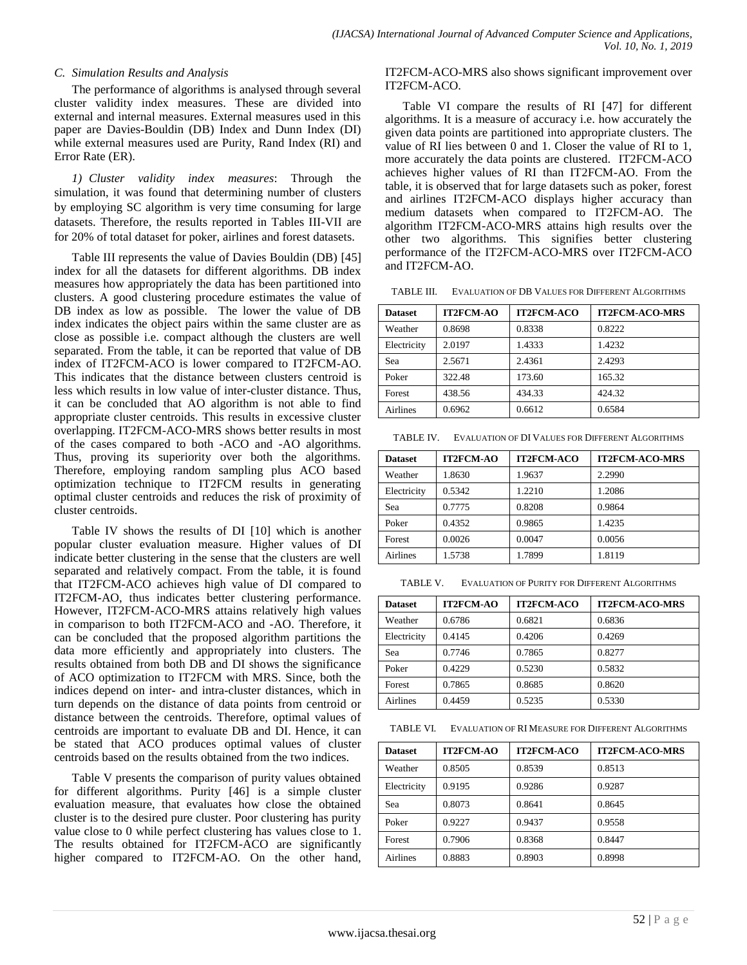## *C. Simulation Results and Analysis*

The performance of algorithms is analysed through several cluster validity index measures. These are divided into external and internal measures. External measures used in this paper are Davies-Bouldin (DB) Index and Dunn Index (DI) while external measures used are Purity, Rand Index (RI) and Error Rate (ER).

*1) Cluster validity index measures*: Through the simulation, it was found that determining number of clusters by employing SC algorithm is very time consuming for large datasets. Therefore, the results reported in Tables III-VII are for 20% of total dataset for poker, airlines and forest datasets.

Table III represents the value of Davies Bouldin (DB) [45] index for all the datasets for different algorithms. DB index measures how appropriately the data has been partitioned into clusters. A good clustering procedure estimates the value of DB index as low as possible. The lower the value of DB index indicates the object pairs within the same cluster are as close as possible i.e. compact although the clusters are well separated. From the table, it can be reported that value of DB index of IT2FCM-ACO is lower compared to IT2FCM-AO. This indicates that the distance between clusters centroid is less which results in low value of inter-cluster distance. Thus, it can be concluded that AO algorithm is not able to find appropriate cluster centroids. This results in excessive cluster overlapping. IT2FCM-ACO-MRS shows better results in most of the cases compared to both -ACO and -AO algorithms. Thus, proving its superiority over both the algorithms. Therefore, employing random sampling plus ACO based optimization technique to IT2FCM results in generating optimal cluster centroids and reduces the risk of proximity of cluster centroids.

Table IV shows the results of DI [10] which is another popular cluster evaluation measure. Higher values of DI indicate better clustering in the sense that the clusters are well separated and relatively compact. From the table, it is found that IT2FCM-ACO achieves high value of DI compared to IT2FCM-AO, thus indicates better clustering performance. However, IT2FCM-ACO-MRS attains relatively high values in comparison to both IT2FCM-ACO and -AO. Therefore, it can be concluded that the proposed algorithm partitions the data more efficiently and appropriately into clusters. The results obtained from both DB and DI shows the significance of ACO optimization to IT2FCM with MRS. Since, both the indices depend on inter- and intra-cluster distances, which in turn depends on the distance of data points from centroid or distance between the centroids. Therefore, optimal values of centroids are important to evaluate DB and DI. Hence, it can be stated that ACO produces optimal values of cluster centroids based on the results obtained from the two indices.

Table V presents the comparison of purity values obtained for different algorithms. Purity [46] is a simple cluster evaluation measure, that evaluates how close the obtained cluster is to the desired pure cluster. Poor clustering has purity value close to 0 while perfect clustering has values close to 1. The results obtained for IT2FCM-ACO are significantly higher compared to IT2FCM-AO. On the other hand, IT2FCM-ACO-MRS also shows significant improvement over IT2FCM-ACO.

Table VI compare the results of RI [47] for different algorithms. It is a measure of accuracy i.e. how accurately the given data points are partitioned into appropriate clusters. The value of RI lies between 0 and 1. Closer the value of RI to 1, more accurately the data points are clustered. IT2FCM-ACO achieves higher values of RI than IT2FCM-AO. From the table, it is observed that for large datasets such as poker, forest and airlines IT2FCM-ACO displays higher accuracy than medium datasets when compared to IT2FCM-AO. The algorithm IT2FCM-ACO-MRS attains high results over the other two algorithms. This signifies better clustering performance of the IT2FCM-ACO-MRS over IT2FCM-ACO and IT2FCM-AO.

TABLE III. EVALUATION OF DB VALUES FOR DIFFERENT ALGORITHMS

| <b>Dataset</b>  | <b>IT2FCM-AO</b> | <b>IT2FCM-ACO</b> | <b>IT2FCM-ACO-MRS</b> |
|-----------------|------------------|-------------------|-----------------------|
| Weather         | 0.8698           | 0.8338            | 0.8222                |
| Electricity     | 2.0197           | 1.4333            | 1.4232                |
| Sea             | 2.5671           | 2.4361            | 2.4293                |
| Poker           | 322.48           | 173.60            | 165.32                |
| Forest          | 438.56           | 434.33            | 424.32                |
| <b>Airlines</b> | 0.6962           | 0.6612            | 0.6584                |

TABLE IV. EVALUATION OF DI VALUES FOR DIFFERENT ALGORITHMS

| <b>Dataset</b>  | <b>IT2FCM-AO</b> | <b>IT2FCM-ACO</b> | <b>IT2FCM-ACO-MRS</b> |
|-----------------|------------------|-------------------|-----------------------|
| Weather         | 1.8630           | 1.9637            | 2.2990                |
| Electricity     | 0.5342           | 1.2210            | 1.2086                |
| Sea             | 0.7775           | 0.8208            | 0.9864                |
| Poker           | 0.4352           | 0.9865            | 1.4235                |
| Forest          | 0.0026           | 0.0047            | 0.0056                |
| <b>Airlines</b> | 1.5738           | 1.7899            | 1.8119                |

TABLE V. EVALUATION OF PURITY FOR DIFFERENT ALGORITHMS

| <b>Dataset</b> | <b>IT2FCM-AO</b> | <b>IT2FCM-ACO</b> | <b>IT2FCM-ACO-MRS</b> |
|----------------|------------------|-------------------|-----------------------|
| Weather        | 0.6786           | 0.6821            | 0.6836                |
| Electricity    | 0.4145           | 0.4206            | 0.4269                |
| Sea            | 0.7746           | 0.7865            | 0.8277                |
| Poker          | 0.4229           | 0.5230            | 0.5832                |
| Forest         | 0.7865           | 0.8685            | 0.8620                |
| Airlines       | 0.4459           | 0.5235            | 0.5330                |

TABLE VI. EVALUATION OF RI MEASURE FOR DIFFERENT ALGORITHMS

| <b>Dataset</b> | <b>IT2FCM-AO</b> | <b>IT2FCM-ACO</b> | <b>IT2FCM-ACO-MRS</b> |
|----------------|------------------|-------------------|-----------------------|
| Weather        | 0.8505           | 0.8539            | 0.8513                |
| Electricity    | 0.9195           | 0.9286            | 0.9287                |
| Sea            | 0.8073           | 0.8641            | 0.8645                |
| Poker          | 0.9227           | 0.9437            | 0.9558                |
| Forest         | 0.7906           | 0.8368            | 0.8447                |
| Airlines       | 0.8883           | 0.8903            | 0.8998                |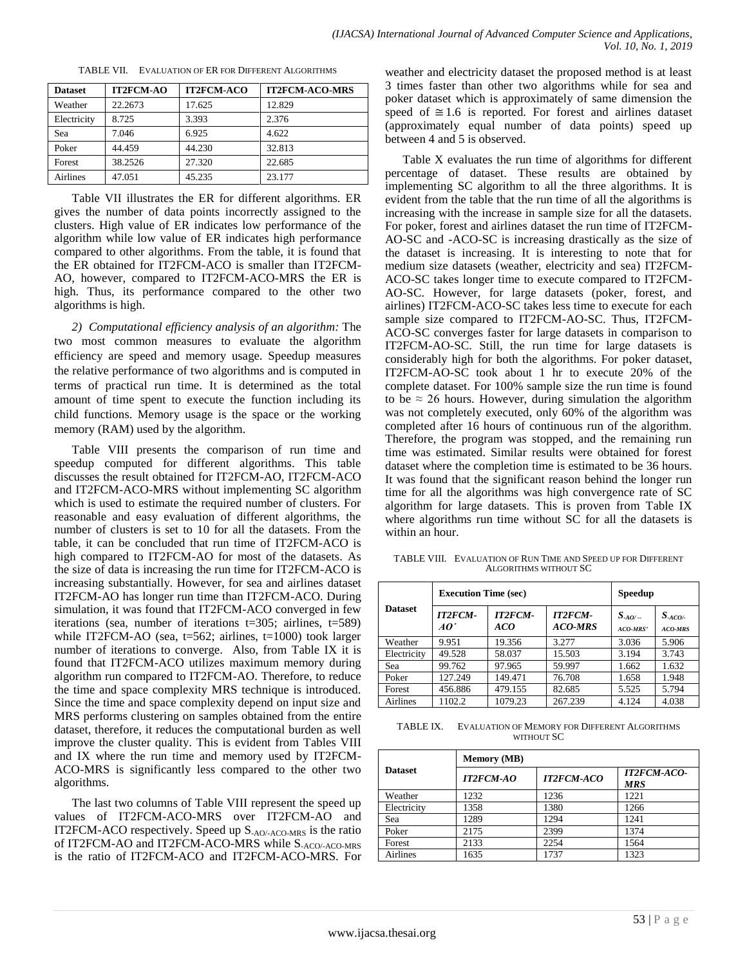| <b>Dataset</b> | <b>IT2FCM-AO</b> | <b>IT2FCM-ACO</b> | <b>IT2FCM-ACO-MRS</b> |
|----------------|------------------|-------------------|-----------------------|
| Weather        | 22.2673          | 17.625            | 12.829                |
| Electricity    | 8.725            | 3.393             | 2.376                 |
| Sea            | 7.046            | 6.925             | 4.622                 |
| Poker          | 44.459           | 44.230            | 32.813                |
| Forest         | 38.2526          | 27.320            | 22.685                |
| Airlines       | 47.051           | 45.235            | 23.177                |

TABLE VII. EVALUATION OF ER FOR DIFFERENT ALGORITHMS

Table VII illustrates the ER for different algorithms. ER gives the number of data points incorrectly assigned to the clusters. High value of ER indicates low performance of the algorithm while low value of ER indicates high performance compared to other algorithms. From the table, it is found that the ER obtained for IT2FCM-ACO is smaller than IT2FCM-AO, however, compared to IT2FCM-ACO-MRS the ER is high. Thus, its performance compared to the other two algorithms is high.

*2) Computational efficiency analysis of an algorithm:* The two most common measures to evaluate the algorithm efficiency are speed and memory usage. Speedup measures the relative performance of two algorithms and is computed in terms of practical run time. It is determined as the total amount of time spent to execute the function including its child functions. Memory usage is the space or the working memory (RAM) used by the algorithm.

Table VIII presents the comparison of run time and speedup computed for different algorithms. This table discusses the result obtained for IT2FCM-AO, IT2FCM-ACO and IT2FCM-ACO-MRS without implementing SC algorithm which is used to estimate the required number of clusters. For reasonable and easy evaluation of different algorithms, the number of clusters is set to 10 for all the datasets. From the table, it can be concluded that run time of IT2FCM-ACO is high compared to IT2FCM-AO for most of the datasets. As the size of data is increasing the run time for IT2FCM-ACO is increasing substantially. However, for sea and airlines dataset IT2FCM-AO has longer run time than IT2FCM-ACO. During simulation, it was found that IT2FCM-ACO converged in few iterations (sea, number of iterations t=305; airlines, t=589) while IT2FCM-AO (sea, t=562; airlines, t=1000) took larger number of iterations to converge. Also, from Table IX it is found that IT2FCM-ACO utilizes maximum memory during algorithm run compared to IT2FCM-AO. Therefore, to reduce the time and space complexity MRS technique is introduced. Since the time and space complexity depend on input size and MRS performs clustering on samples obtained from the entire dataset, therefore, it reduces the computational burden as well improve the cluster quality. This is evident from Tables VIII and IX where the run time and memory used by IT2FCM-ACO-MRS is significantly less compared to the other two algorithms.

The last two columns of Table VIII represent the speed up values of IT2FCM-ACO-MRS over IT2FCM-AO and IT2FCM-ACO respectively. Speed up S-AO/-ACO-MRS is the ratio of IT2FCM-AO and IT2FCM-ACO-MRS while S-ACO/-ACO-MRS is the ratio of IT2FCM-ACO and IT2FCM-ACO-MRS. For weather and electricity dataset the proposed method is at least 3 times faster than other two algorithms while for sea and poker dataset which is approximately of same dimension the speed of  $\approx 1.6$  is reported. For forest and airlines dataset (approximately equal number of data points) speed up between 4 and 5 is observed.

Table X evaluates the run time of algorithms for different percentage of dataset. These results are obtained by implementing SC algorithm to all the three algorithms. It is evident from the table that the run time of all the algorithms is increasing with the increase in sample size for all the datasets. For poker, forest and airlines dataset the run time of IT2FCM-AO-SC and -ACO-SC is increasing drastically as the size of the dataset is increasing. It is interesting to note that for medium size datasets (weather, electricity and sea) IT2FCM-ACO-SC takes longer time to execute compared to IT2FCM-AO-SC. However, for large datasets (poker, forest, and airlines) IT2FCM-ACO-SC takes less time to execute for each sample size compared to IT2FCM-AO-SC. Thus, IT2FCM-ACO-SC converges faster for large datasets in comparison to IT2FCM-AO-SC. Still, the run time for large datasets is considerably high for both the algorithms. For poker dataset, IT2FCM-AO-SC took about 1 hr to execute 20% of the complete dataset. For 100% sample size the run time is found to be  $\approx$  26 hours. However, during simulation the algorithm was not completely executed, only 60% of the algorithm was completed after 16 hours of continuous run of the algorithm. Therefore, the program was stopped, and the remaining run time was estimated. Similar results were obtained for forest dataset where the completion time is estimated to be 36 hours. It was found that the significant reason behind the longer run time for all the algorithms was high convergence rate of SC algorithm for large datasets. This is proven from Table IX where algorithms run time without SC for all the datasets is within an hour.

TABLE VIII. EVALUATION OF RUN TIME AND SPEED UP FOR DIFFERENT ALGORITHMS WITHOUT SC

|                | <b>Execution Time (sec)</b> |                       | <b>Speedup</b>            |                           |                          |
|----------------|-----------------------------|-----------------------|---------------------------|---------------------------|--------------------------|
| <b>Dataset</b> | <b>IT2FCM-</b><br>AO'       | <b>IT2FCM-</b><br>ACO | <b>IT2FCM-</b><br>ACO-MRS | $S_{.AO/-}$<br>$ACO-MRS'$ | $S_{ACO/-}$<br>$ACO-MRS$ |
| Weather        | 9.951                       | 19.356                | 3.277                     | 3.036                     | 5.906                    |
| Electricity    | 49.528                      | 58.037                | 15.503                    | 3.194                     | 3.743                    |
| Sea            | 99.762                      | 97.965                | 59.997                    | 1.662                     | 1.632                    |
| Poker          | 127.249                     | 149.471               | 76.708                    | 1.658                     | 1.948                    |
| Forest         | 456.886                     | 479.155               | 82.685                    | 5.525                     | 5.794                    |
| Airlines       | 1102.2                      | 1079.23               | 267.239                   | 4.124                     | 4.038                    |

TABLE IX. EVALUATION OF MEMORY FOR DIFFERENT ALGORITHMS WITHOUT SC

|                 | <b>Memory (MB)</b> |                   |                                  |  |  |  |  |
|-----------------|--------------------|-------------------|----------------------------------|--|--|--|--|
| <b>Dataset</b>  | <b>IT2FCM-AO</b>   | <b>IT2FCM-ACO</b> | <b>IT2FCM-ACO-</b><br><b>MRS</b> |  |  |  |  |
| Weather         | 1232               | 1236              | 1221                             |  |  |  |  |
| Electricity     | 1358               | 1380              | 1266                             |  |  |  |  |
| Sea             | 1289               | 1294              | 1241                             |  |  |  |  |
| Poker           | 2175               | 2399              | 1374                             |  |  |  |  |
| Forest          | 2133               | 2254              | 1564                             |  |  |  |  |
| <b>Airlines</b> | 1635               | 1737              | 1323                             |  |  |  |  |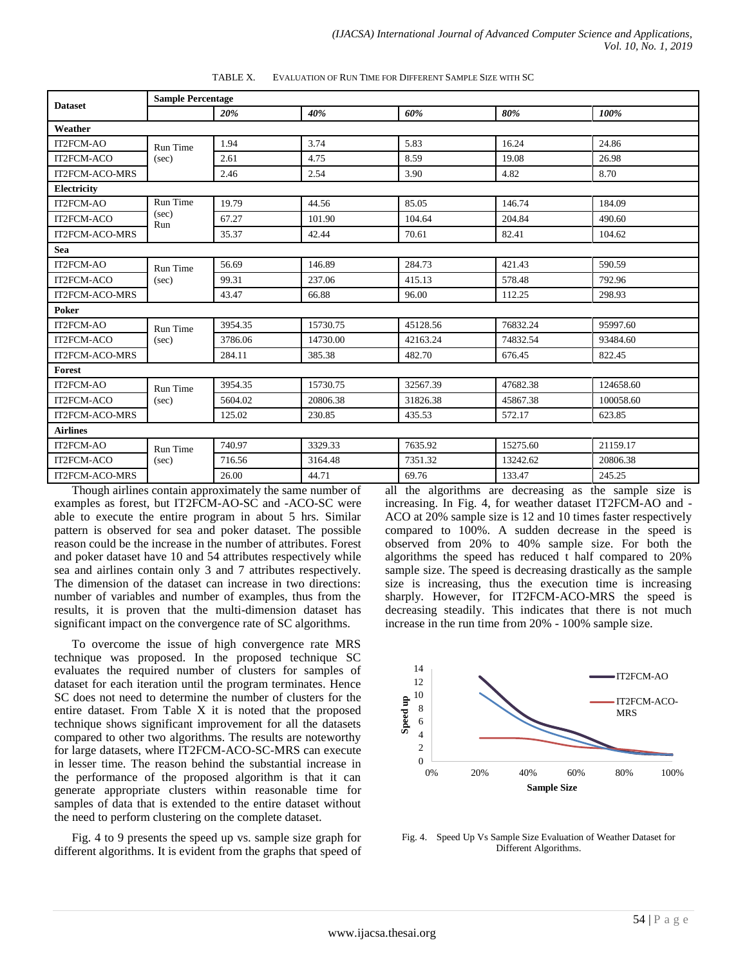|                                                           |                 | <b>Sample Percentage</b>                        |          |          |          |                                                            |  |  |
|-----------------------------------------------------------|-----------------|-------------------------------------------------|----------|----------|----------|------------------------------------------------------------|--|--|
| <b>Dataset</b>                                            |                 | 20%                                             | 40%      | 60%      | 80%      | 100%                                                       |  |  |
| Weather                                                   |                 |                                                 |          |          |          |                                                            |  |  |
| IT2FCM-AO                                                 | Run Time        | 1.94                                            | 3.74     | 5.83     | 16.24    | 24.86                                                      |  |  |
| IT2FCM-ACO                                                | (sec)           | 2.61                                            | 4.75     | 8.59     | 19.08    | 26.98                                                      |  |  |
| <b>IT2FCM-ACO-MRS</b>                                     |                 | 2.46                                            | 2.54     | 3.90     | 4.82     | 8.70                                                       |  |  |
| Electricity                                               |                 |                                                 |          |          |          |                                                            |  |  |
| IT2FCM-AO                                                 | <b>Run Time</b> | 19.79                                           | 44.56    | 85.05    | 146.74   | 184.09                                                     |  |  |
| IT2FCM-ACO                                                | (sec)<br>Run    | 67.27                                           | 101.90   | 104.64   | 204.84   | 490.60                                                     |  |  |
| <b>IT2FCM-ACO-MRS</b>                                     |                 | 35.37                                           | 42.44    | 70.61    | 82.41    | 104.62                                                     |  |  |
| <b>Sea</b>                                                |                 |                                                 |          |          |          |                                                            |  |  |
| IT2FCM-AO                                                 | <b>Run Time</b> | 56.69                                           | 146.89   | 284.73   | 421.43   | 590.59                                                     |  |  |
| IT2FCM-ACO                                                | (sec)           | 99.31                                           | 237.06   | 415.13   | 578.48   | 792.96                                                     |  |  |
| <b>IT2FCM-ACO-MRS</b>                                     |                 | 43.47                                           | 66.88    | 96.00    | 112.25   | 298.93                                                     |  |  |
| Poker                                                     |                 |                                                 |          |          |          |                                                            |  |  |
| IT2FCM-AO                                                 | Run Time        | 3954.35                                         | 15730.75 | 45128.56 | 76832.24 | 95997.60                                                   |  |  |
| IT2FCM-ACO                                                | (sec)           | 3786.06                                         | 14730.00 | 42163.24 | 74832.54 | 93484.60                                                   |  |  |
| <b>IT2FCM-ACO-MRS</b>                                     |                 | 284.11                                          | 385.38   | 482.70   | 676.45   | 822.45                                                     |  |  |
| Forest                                                    |                 |                                                 |          |          |          |                                                            |  |  |
| IT2FCM-AO                                                 | <b>Run Time</b> | 3954.35                                         | 15730.75 | 32567.39 | 47682.38 | 124658.60                                                  |  |  |
| IT2FCM-ACO                                                | (sec)           | 5604.02                                         | 20806.38 | 31826.38 | 45867.38 | 100058.60                                                  |  |  |
| <b>IT2FCM-ACO-MRS</b>                                     |                 | 125.02                                          | 230.85   | 435.53   | 572.17   | 623.85                                                     |  |  |
| <b>Airlines</b>                                           |                 |                                                 |          |          |          |                                                            |  |  |
| IT2FCM-AO                                                 | Run Time        | 740.97                                          | 3329.33  | 7635.92  | 15275.60 | 21159.17                                                   |  |  |
| IT2FCM-ACO                                                | (sec)           | 716.56                                          | 3164.48  | 7351.32  | 13242.62 | 20806.38                                                   |  |  |
| <b>IT2FCM-ACO-MRS</b>                                     |                 | 26.00                                           | 44.71    | 69.76    | 133.47   | 245.25                                                     |  |  |
| The country of all the compositions of the control of the |                 | atan senta tanggal sa sawa sa sasa tanggal sa K |          |          |          | all the algorithms are decoracions as the complete and the |  |  |

TABLE X. EVALUATION OF RUN TIME FOR DIFFERENT SAMPLE SIZE WITH SC

Though airlines contain approximately the same number of examples as forest, but IT2FCM-AO-SC and -ACO-SC were able to execute the entire program in about 5 hrs. Similar pattern is observed for sea and poker dataset. The possible reason could be the increase in the number of attributes. Forest and poker dataset have 10 and 54 attributes respectively while sea and airlines contain only 3 and 7 attributes respectively. The dimension of the dataset can increase in two directions: number of variables and number of examples, thus from the results, it is proven that the multi-dimension dataset has significant impact on the convergence rate of SC algorithms.

To overcome the issue of high convergence rate MRS technique was proposed. In the proposed technique SC evaluates the required number of clusters for samples of dataset for each iteration until the program terminates. Hence SC does not need to determine the number of clusters for the entire dataset. From Table X it is noted that the proposed technique shows significant improvement for all the datasets compared to other two algorithms. The results are noteworthy for large datasets, where IT2FCM-ACO-SC-MRS can execute in lesser time. The reason behind the substantial increase in the performance of the proposed algorithm is that it can generate appropriate clusters within reasonable time for samples of data that is extended to the entire dataset without the need to perform clustering on the complete dataset.

Fig. 4 to 9 presents the speed up vs. sample size graph for different algorithms. It is evident from the graphs that speed of all the algorithms are decreasing as the sample size is increasing. In Fig. 4, for weather dataset IT2FCM-AO and - ACO at 20% sample size is 12 and 10 times faster respectively compared to 100%. A sudden decrease in the speed is observed from 20% to 40% sample size. For both the algorithms the speed has reduced t half compared to 20% sample size. The speed is decreasing drastically as the sample size is increasing, thus the execution time is increasing sharply. However, for IT2FCM-ACO-MRS the speed is decreasing steadily. This indicates that there is not much increase in the run time from 20% - 100% sample size.



Fig. 4. Speed Up Vs Sample Size Evaluation of Weather Dataset for Different Algorithms.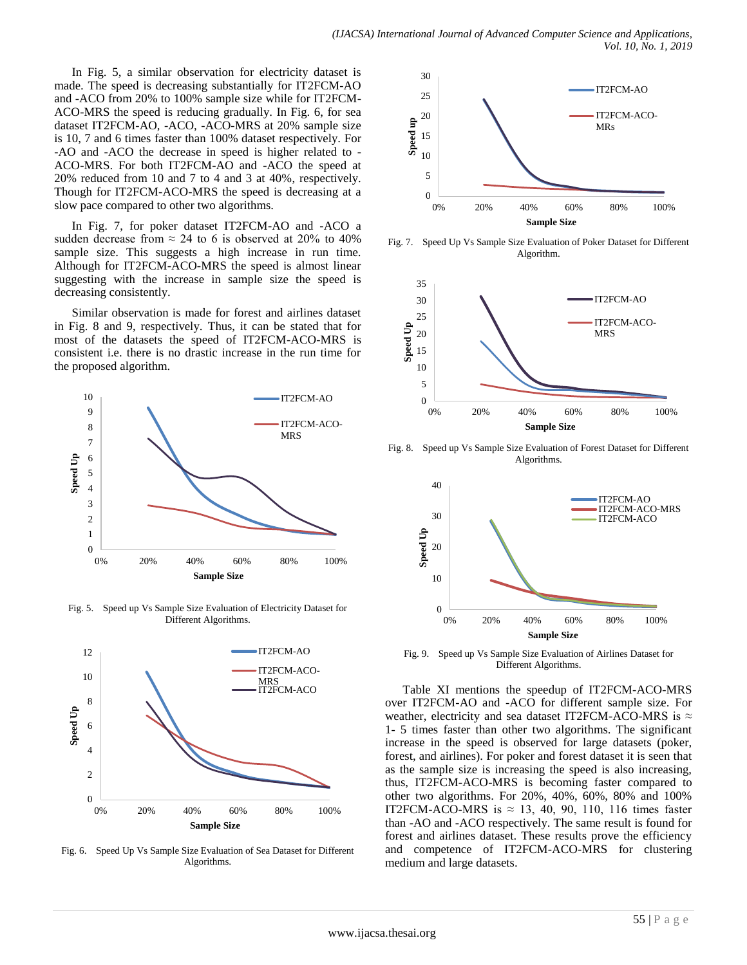In Fig. 5, a similar observation for electricity dataset is made. The speed is decreasing substantially for IT2FCM-AO and -ACO from 20% to 100% sample size while for IT2FCM-ACO-MRS the speed is reducing gradually. In Fig. 6, for sea dataset IT2FCM-AO, -ACO, -ACO-MRS at 20% sample size is 10, 7 and 6 times faster than 100% dataset respectively. For -AO and -ACO the decrease in speed is higher related to - ACO-MRS. For both IT2FCM-AO and -ACO the speed at 20% reduced from 10 and 7 to 4 and 3 at 40%, respectively. Though for IT2FCM-ACO-MRS the speed is decreasing at a slow pace compared to other two algorithms.

In Fig. 7, for poker dataset IT2FCM-AO and -ACO a sudden decrease from  $\approx 24$  to 6 is observed at 20% to 40% sample size. This suggests a high increase in run time. Although for IT2FCM-ACO-MRS the speed is almost linear suggesting with the increase in sample size the speed is decreasing consistently.

Similar observation is made for forest and airlines dataset in Fig. 8 and 9, respectively. Thus, it can be stated that for most of the datasets the speed of IT2FCM-ACO-MRS is consistent i.e. there is no drastic increase in the run time for the proposed algorithm.



Fig. 5. Speed up Vs Sample Size Evaluation of Electricity Dataset for Different Algorithms.



Fig. 6. Speed Up Vs Sample Size Evaluation of Sea Dataset for Different Algorithms.



Fig. 7. Speed Up Vs Sample Size Evaluation of Poker Dataset for Different Algorithm.



Fig. 8. Speed up Vs Sample Size Evaluation of Forest Dataset for Different Algorithms.



Fig. 9. Speed up Vs Sample Size Evaluation of Airlines Dataset for Different Algorithms.

Table XI mentions the speedup of IT2FCM-ACO-MRS over IT2FCM-AO and -ACO for different sample size. For weather, electricity and sea dataset IT2FCM-ACO-MRS is  $\approx$ 1- 5 times faster than other two algorithms. The significant increase in the speed is observed for large datasets (poker, forest, and airlines). For poker and forest dataset it is seen that as the sample size is increasing the speed is also increasing, thus, IT2FCM-ACO-MRS is becoming faster compared to other two algorithms. For 20%, 40%, 60%, 80% and 100% IT2FCM-ACO-MRS is  $\approx$  13, 40, 90, 110, 116 times faster than -AO and -ACO respectively. The same result is found for forest and airlines dataset. These results prove the efficiency and competence of IT2FCM-ACO-MRS for clustering medium and large datasets.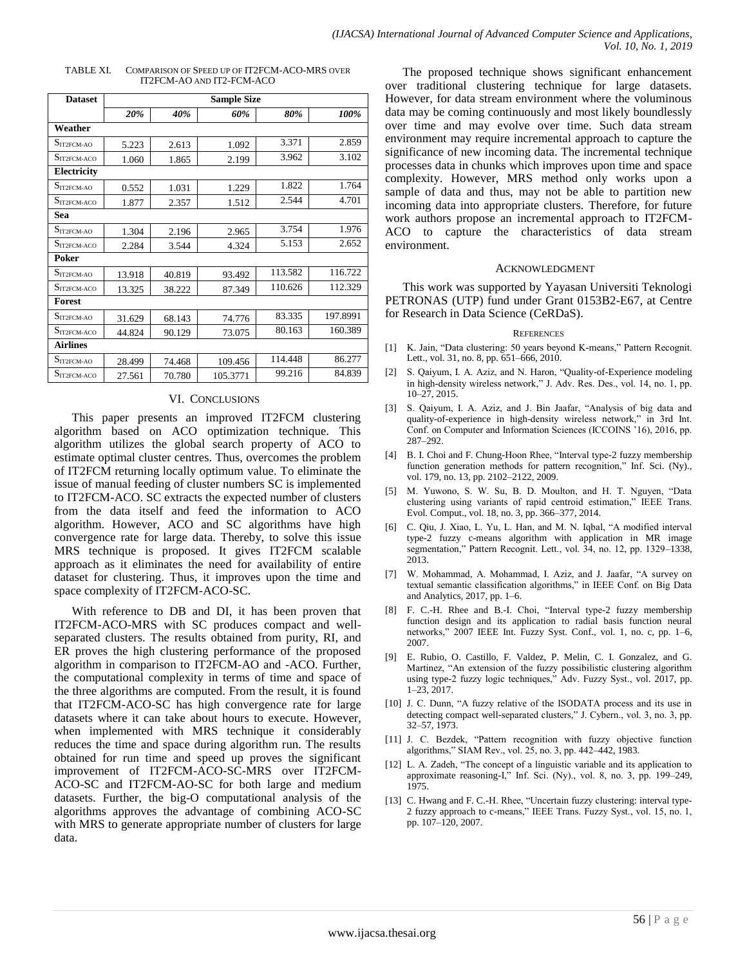| <b>Dataset</b>                  | <b>Sample Size</b> |        |          |         |          |  |
|---------------------------------|--------------------|--------|----------|---------|----------|--|
|                                 | 20%                | 40%    | 60%      | 80%     | 100%     |  |
| Weather                         |                    |        |          |         |          |  |
| $S_{\text{IT2FCM-AO}}$          | 5.223              | 2.613  | 1.092    | 3.371   | 2.859    |  |
| $S_{\text{IT2FCM-ACO}}$         | 1.060              | 1.865  | 2.199    | 3.962   | 3.102    |  |
| <b>Electricity</b>              |                    |        |          |         |          |  |
| $S_{\text{IT2FCM-AO}}$          | 0.552              | 1.031  | 1.229    | 1.822   | 1.764    |  |
| $S_{\text{IT2FCM-ACO}}$         | 1.877              | 2.357  | 1.512    | 2.544   | 4.701    |  |
| <b>Sea</b>                      |                    |        |          |         |          |  |
| $S_{\text{IT2FCM-AO}}$          | 1.304              | 2.196  | 2.965    | 3.754   | 1.976    |  |
| $S_{\text{IT2FCM-ACO}}$         | 2.284              | 3.544  | 4.324    | 5.153   | 2.652    |  |
| <b>Poker</b>                    |                    |        |          |         |          |  |
| $S_{\text{IT2FCM-AO}}$          | 13.918             | 40.819 | 93.492   | 113.582 | 116.722  |  |
| $S_{\text{IT2FCM-ACO}}$         | 13.325             | 38.222 | 87.349   | 110.626 | 112.329  |  |
| <b>Forest</b>                   |                    |        |          |         |          |  |
| $S_{\text{IT2FCM-AO}}$          | 31.629             | 68.143 | 74.776   | 83.335  | 197.8991 |  |
| $S_{IT2FCM-ACO}$                | 44.824             | 90.129 | 73.075   | 80.163  | 160.389  |  |
| <b>Airlines</b>                 |                    |        |          |         |          |  |
| $S_{\mathrm{IT2FCM\text{-}AO}}$ | 28.499             | 74.468 | 109.456  | 114.448 | 86.277   |  |
| $S_{\text{IT2FCM-ACO}}$         | 27.561             | 70.780 | 105.3771 | 99.216  | 84.839   |  |

#### TABLE XI. COMPARISON OF SPEED UP OF IT2FCM-ACO-MRS OVER IT2FCM-AO AND IT2-FCM-ACO

## VI. CONCLUSIONS

This paper presents an improved IT2FCM clustering algorithm based on ACO optimization technique. This algorithm utilizes the global search property of ACO to estimate optimal cluster centres. Thus, overcomes the problem of IT2FCM returning locally optimum value. To eliminate the issue of manual feeding of cluster numbers SC is implemented to IT2FCM-ACO. SC extracts the expected number of clusters from the data itself and feed the information to ACO algorithm. However, ACO and SC algorithms have high convergence rate for large data. Thereby, to solve this issue MRS technique is proposed. It gives IT2FCM scalable approach as it eliminates the need for availability of entire dataset for clustering. Thus, it improves upon the time and space complexity of IT2FCM-ACO-SC.

With reference to DB and DI, it has been proven that IT2FCM-ACO-MRS with SC produces compact and wellseparated clusters. The results obtained from purity, RI, and ER proves the high clustering performance of the proposed algorithm in comparison to IT2FCM-AO and -ACO. Further, the computational complexity in terms of time and space of the three algorithms are computed. From the result, it is found that IT2FCM-ACO-SC has high convergence rate for large datasets where it can take about hours to execute. However, when implemented with MRS technique it considerably reduces the time and space during algorithm run. The results obtained for run time and speed up proves the significant improvement of IT2FCM-ACO-SC-MRS over IT2FCM-ACO-SC and IT2FCM-AO-SC for both large and medium datasets. Further, the big-O computational analysis of the algorithms approves the advantage of combining ACO-SC with MRS to generate appropriate number of clusters for large data.

The proposed technique shows significant enhancement over traditional clustering technique for large datasets. However, for data stream environment where the voluminous data may be coming continuously and most likely boundlessly over time and may evolve over time. Such data stream environment may require incremental approach to capture the significance of new incoming data. The incremental technique processes data in chunks which improves upon time and space complexity. However, MRS method only works upon a sample of data and thus, may not be able to partition new incoming data into appropriate clusters. Therefore, for future work authors propose an incremental approach to IT2FCM-ACO to capture the characteristics of data stream environment.

#### ACKNOWLEDGMENT

This work was supported by Yayasan Universiti Teknologi PETRONAS (UTP) fund under Grant 0153B2-E67, at Centre for Research in Data Science (CeRDaS).

#### **REFERENCES**

- [1] K. Jain, "Data clustering: 50 years beyond K-means," Pattern Recognit. Lett., vol. 31, no. 8, pp. 651–666, 2010.
- [2] S. Qaiyum, I. A. Aziz, and N. Haron, "Quality-of-Experience modeling in high-density wireless network," J. Adv. Res. Des., vol. 14, no. 1, pp. 10–27, 2015.
- [3] S. Qaiyum, I. A. Aziz, and J. Bin Jaafar, "Analysis of big data and quality-of-experience in high-density wireless network," in 3rd Int. Conf. on Computer and Information Sciences (ICCOINS '16), 2016, pp. 287–292.
- [4] B. I. Choi and F. Chung-Hoon Rhee, "Interval type-2 fuzzy membership function generation methods for pattern recognition," Inf. Sci. (Ny)., vol. 179, no. 13, pp. 2102–2122, 2009.
- [5] M. Yuwono, S. W. Su, B. D. Moulton, and H. T. Nguyen, "Data clustering using variants of rapid centroid estimation," IEEE Trans. Evol. Comput., vol. 18, no. 3, pp. 366–377, 2014.
- [6] C. Qiu, J. Xiao, L. Yu, L. Han, and M. N. Iqbal, "A modified interval type-2 fuzzy c-means algorithm with application in MR image segmentation," Pattern Recognit. Lett., vol. 34, no. 12, pp. 1329–1338, 2013.
- [7] W. Mohammad, A. Mohammad, I. Aziz, and J. Jaafar, "A survey on textual semantic classification algorithms," in IEEE Conf. on Big Data and Analytics, 2017, pp. 1–6.
- [8] F. C.-H. Rhee and B.-I. Choi, "Interval type-2 fuzzy membership function design and its application to radial basis function neural networks," 2007 IEEE Int. Fuzzy Syst. Conf., vol. 1, no. c, pp. 1–6, 2007.
- [9] E. Rubio, O. Castillo, F. Valdez, P. Melin, C. I. Gonzalez, and G. Martinez, "An extension of the fuzzy possibilistic clustering algorithm using type-2 fuzzy logic techniques," Adv. Fuzzy Syst., vol. 2017, pp. 1–23, 2017.
- [10] J. C. Dunn, "A fuzzy relative of the ISODATA process and its use in detecting compact well-separated clusters," J. Cybern., vol. 3, no. 3, pp. 32–57, 1973.
- [11] J. C. Bezdek, "Pattern recognition with fuzzy objective function algorithms," SIAM Rev., vol. 25, no. 3, pp. 442–442, 1983.
- [12] L. A. Zadeh, "The concept of a linguistic variable and its application to approximate reasoning-I," Inf. Sci. (Ny)., vol. 8, no. 3, pp. 199–249, 1975.
- [13] C. Hwang and F. C.-H. Rhee, "Uncertain fuzzy clustering: interval type-2 fuzzy approach to c-means," IEEE Trans. Fuzzy Syst., vol. 15, no. 1, pp. 107–120, 2007.